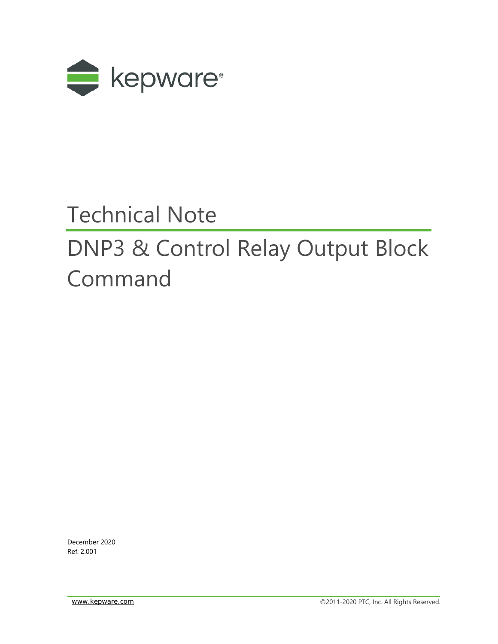

# Technical Note

# DNP3 & Control Relay Output Block Command

December 2020 Ref. 2.001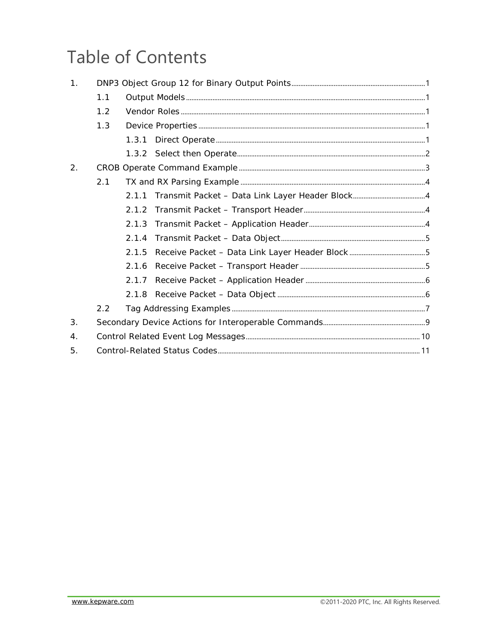## **Table of Contents**

| 1.               |     |       |  |  |
|------------------|-----|-------|--|--|
|                  | 1.1 |       |  |  |
|                  | 1.2 |       |  |  |
|                  | 1.3 |       |  |  |
|                  |     | 1.3.1 |  |  |
|                  |     |       |  |  |
| 2.               |     |       |  |  |
|                  | 2.1 |       |  |  |
|                  |     | 2.1.1 |  |  |
|                  |     | 2.1.2 |  |  |
|                  |     | 2.1.3 |  |  |
|                  |     | 2.1.4 |  |  |
|                  |     | 2.1.5 |  |  |
|                  |     | 2.1.6 |  |  |
|                  |     | 2.1.7 |  |  |
|                  |     |       |  |  |
|                  | 2.2 |       |  |  |
| 3.               |     |       |  |  |
| $\overline{4}$ . |     |       |  |  |
| 5.               |     |       |  |  |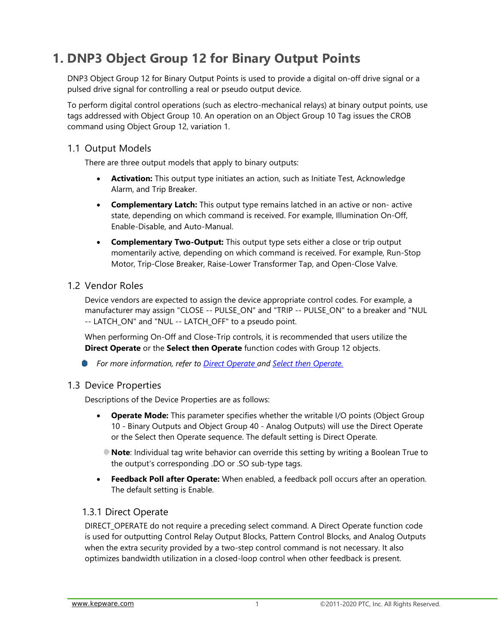## <span id="page-2-0"></span>**1. DNP3 Object Group 12 for Binary Output Points**

DNP3 Object Group 12 for Binary Output Points is used to provide a digital on-off drive signal or a pulsed drive signal for controlling a real or pseudo output device.

To perform digital control operations (such as electro-mechanical relays) at binary output points, use tags addressed with Object Group 10. An operation on an Object Group 10 Tag issues the CROB command using Object Group 12, variation 1.

#### <span id="page-2-1"></span>1.1 Output Models

There are three output models that apply to binary outputs:

- **Activation:** This output type initiates an action, such as Initiate Test, Acknowledge Alarm, and Trip Breaker.
- **Complementary Latch:** This output type remains latched in an active or non- active state, depending on which command is received. For example, Illumination On-Off, Enable-Disable, and Auto-Manual.
- **Complementary Two-Output:** This output type sets either a close or trip output momentarily active, depending on which command is received. For example, Run-Stop Motor, Trip-Close Breaker, Raise-Lower Transformer Tap, and Open-Close Valve.

#### <span id="page-2-2"></span>1.2 Vendor Roles

Device vendors are expected to assign the device appropriate control codes. For example, a manufacturer may assign "CLOSE -- PULSE\_ON" and "TRIP -- PULSE\_ON" to a breaker and "NUL -- LATCH\_ON" and "NUL -- LATCH\_OFF" to a pseudo point.

When performing On-Off and Close-Trip controls, it is recommended that users utilize the **Direct Operate** or the **Select then Operate** function codes with Group 12 objects.

*For more information, refer to Direct Operate and Select then Operate.*

#### <span id="page-2-3"></span>1.3 Device Properties

Descriptions of the Device Properties are as follows:

- **Operate Mode:** This parameter specifies whether the writable I/O points (Object Group 10 - Binary Outputs and Object Group 40 - Analog Outputs) will use the Direct Operate or the Select then Operate sequence. The default setting is Direct Operate.
	- **Note**: Individual tag write behavior can override this setting by writing a Boolean True to the output's corresponding .DO or .SO sub-type tags.
- **Feedback Poll after Operate:** When enabled, a feedback poll occurs after an operation. The default setting is Enable.

#### <span id="page-2-4"></span>1.3.1 Direct Operate

DIRECT\_OPERATE do not require a preceding select command. A Direct Operate function code is used for outputting Control Relay Output Blocks, Pattern Control Blocks, and Analog Outputs when the extra security provided by a two-step control command is not necessary. It also optimizes bandwidth utilization in a closed-loop control when other feedback is present.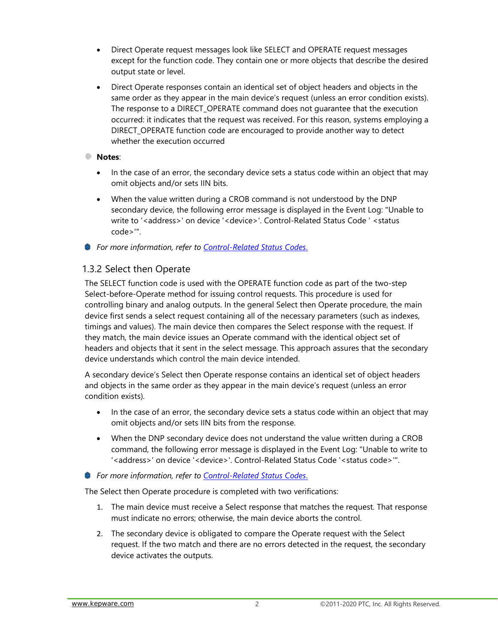- Direct Operate request messages look like SELECT and OPERATE request messages except for the function code. They contain one or more objects that describe the desired output state or level.
- Direct Operate responses contain an identical set of object headers and objects in the same order as they appear in the main device's request (unless an error condition exists). The response to a DIRECT OPERATE command does not quarantee that the execution occurred: it indicates that the request was received. For this reason, systems employing a DIRECT\_OPERATE function code are encouraged to provide another way to detect whether the execution occurred

#### **Notes**:

- In the case of an error, the secondary device sets a status code within an object that may omit objects and/or sets IIN bits.
- When the value written during a CROB command is not understood by the DNP secondary device, the following error message is displayed in the Event Log: "Unable to write to '<address>' on device '<device>'. Control-Related Status Code '<status code>'".
- *For more information, refer to Control-Related Status Codes*.

#### <span id="page-3-0"></span>1.3.2 Select then Operate

The SELECT function code is used with the OPERATE function code as part of the two-step Select-before-Operate method for issuing control requests. This procedure is used for controlling binary and analog outputs. In the general Select then Operate procedure, the main device first sends a select request containing all of the necessary parameters (such as indexes, timings and values). The main device then compares the Select response with the request. If they match, the main device issues an Operate command with the identical object set of headers and objects that it sent in the select message. This approach assures that the secondary device understands which control the main device intended.

A secondary device's Select then Operate response contains an identical set of object headers and objects in the same order as they appear in the main device's request (unless an error condition exists).

- In the case of an error, the secondary device sets a status code within an object that may omit objects and/or sets IIN bits from the response.
- When the DNP secondary device does not understand the value written during a CROB command, the following error message is displayed in the Event Log: "Unable to write to '<address>' on device '<device>'. Control-Related Status Code '<status code>'".
- *For more information, refer to Control-Related Status Codes*.

The Select then Operate procedure is completed with two verifications:

- 1. The main device must receive a Select response that matches the request. That response must indicate no errors; otherwise, the main device aborts the control.
- 2. The secondary device is obligated to compare the Operate request with the Select request. If the two match and there are no errors detected in the request, the secondary device activates the outputs.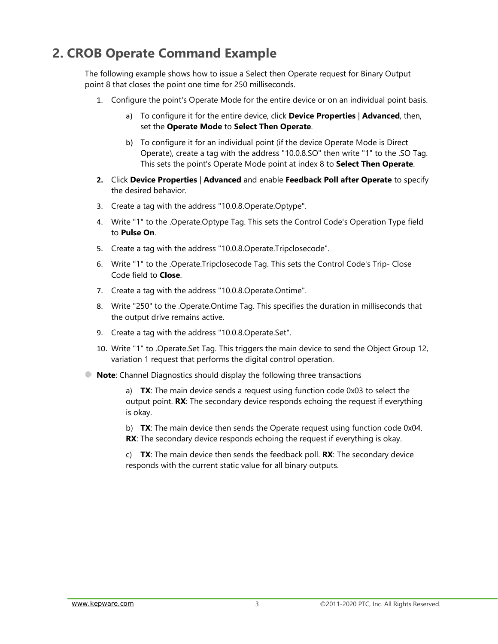## <span id="page-4-0"></span>**2. CROB Operate Command Example**

The following example shows how to issue a Select then Operate request for Binary Output point 8 that closes the point one time for 250 milliseconds.

- 1. Configure the point's Operate Mode for the entire device or on an individual point basis.
	- a) To configure it for the entire device, click **Device Properties** | **Advanced**, then, set the **Operate Mode** to **Select Then Operate**.
	- b) To configure it for an individual point (if the device Operate Mode is Direct Operate), create a tag with the address "10.0.8.SO" then write "1" to the .SO Tag. This sets the point's Operate Mode point at index 8 to **Select Then Operate**.
- **2.** Click **Device Properties** | **Advanced** and enable **Feedback Poll after Operate** to specify the desired behavior.
- 3. Create a tag with the address "10.0.8.Operate.Optype".
- 4. Write "1" to the .Operate.Optype Tag. This sets the Control Code's Operation Type field to **Pulse On**.
- 5. Create a tag with the address "10.0.8.Operate.Tripclosecode".
- 6. Write "1" to the .Operate.Tripclosecode Tag. This sets the Control Code's Trip- Close Code field to **Close**.
- 7. Create a tag with the address "10.0.8.Operate.Ontime".
- 8. Write "250" to the .Operate.Ontime Tag. This specifies the duration in milliseconds that the output drive remains active.
- 9. Create a tag with the address "10.0.8.Operate.Set".
- 10. Write "1" to .Operate.Set Tag. This triggers the main device to send the Object Group 12, variation 1 request that performs the digital control operation.
- **Note:** Channel Diagnostics should display the following three transactions

a) **TX**: The main device sends a request using function code 0x03 to select the output point. **RX**: The secondary device responds echoing the request if everything is okay.

b) **TX**: The main device then sends the Operate request using function code 0x04. **RX**: The secondary device responds echoing the request if everything is okay.

c) **TX**: The main device then sends the feedback poll. **RX**: The secondary device responds with the current static value for all binary outputs.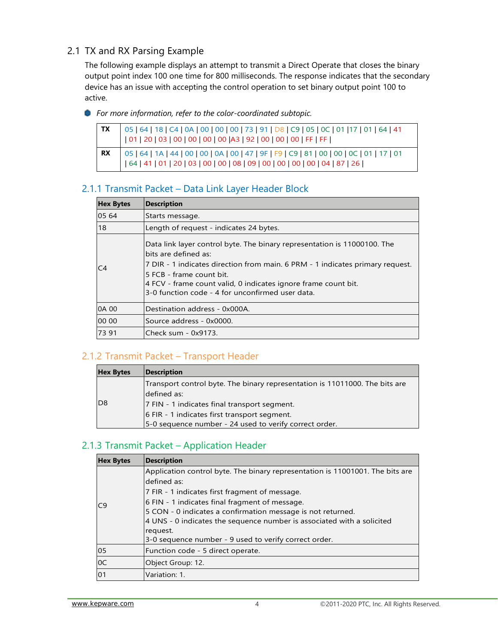#### <span id="page-5-0"></span>2.1 TX and RX Parsing Example

The following example displays an attempt to transmit a Direct Operate that closes the binary output point index 100 one time for 800 milliseconds. The response indicates that the secondary device has an issue with accepting the control operation to set binary output point 100 to active.

*For more information, refer to the color-coordinated subtopic.*

| 05   64   18   C4   0A   00   00   00   73   91   D8   C9   05   0C   01  17   01   64   41<br>  01   20   03   00   00   00   00   00   43   92   00   00   00   FF   FF |
|---------------------------------------------------------------------------------------------------------------------------------------------------------------------------|
|                                                                                                                                                                           |

#### <span id="page-5-1"></span>2.1.1 Transmit Packet – Data Link Layer Header Block

| <b>Hex Bytes</b> | <b>Description</b>                                                                                                                                                                                                                                                                                                                   |  |
|------------------|--------------------------------------------------------------------------------------------------------------------------------------------------------------------------------------------------------------------------------------------------------------------------------------------------------------------------------------|--|
| 05 64            | Starts message.                                                                                                                                                                                                                                                                                                                      |  |
| 18               | Length of request - indicates 24 bytes.                                                                                                                                                                                                                                                                                              |  |
| C <sub>4</sub>   | Data link layer control byte. The binary representation is 11000100. The<br>bits are defined as:<br>7 DIR - 1 indicates direction from main. 6 PRM - 1 indicates primary request.<br>I5 FCB - frame count bit.<br>4 FCV - frame count valid, 0 indicates ignore frame count bit.<br>3-0 function code - 4 for unconfirmed user data. |  |
| 0A 00            | <b>IDestination address - 0x000A.</b>                                                                                                                                                                                                                                                                                                |  |
| 00 00            | lSource address - 0x0000.                                                                                                                                                                                                                                                                                                            |  |
| 73 91            | lCheck sum - 0x9173.                                                                                                                                                                                                                                                                                                                 |  |

#### <span id="page-5-2"></span>2.1.2 Transmit Packet – Transport Header

| <b>Hex Bytes</b> | <b>Description</b>                                                          |
|------------------|-----------------------------------------------------------------------------|
|                  | Transport control byte. The binary representation is 11011000. The bits are |
|                  | defined as:                                                                 |
| D <sub>8</sub>   | 7 FIN - 1 indicates final transport segment.                                |
|                  | 6 FIR - 1 indicates first transport segment.                                |
|                  | 5-0 sequence number - 24 used to verify correct order.                      |

#### <span id="page-5-3"></span>2.1.3 Transmit Packet – Application Header

| <b>Hex Bytes</b> | <b>Description</b>                                                                                                                                                                                                                                                                                                                                                                                             |
|------------------|----------------------------------------------------------------------------------------------------------------------------------------------------------------------------------------------------------------------------------------------------------------------------------------------------------------------------------------------------------------------------------------------------------------|
| C9               | Application control byte. The binary representation is 11001001. The bits are<br>defined as:<br>7 FIR - 1 indicates first fragment of message.<br>6 FIN - 1 indicates final fragment of message.<br>5 CON - 0 indicates a confirmation message is not returned.<br>4 UNS - 0 indicates the sequence number is associated with a solicited<br>request.<br>3-0 sequence number - 9 used to verify correct order. |
| 05               | Function code - 5 direct operate.                                                                                                                                                                                                                                                                                                                                                                              |
| 0C               | Object Group: 12.                                                                                                                                                                                                                                                                                                                                                                                              |
| 01               | Variation: 1.                                                                                                                                                                                                                                                                                                                                                                                                  |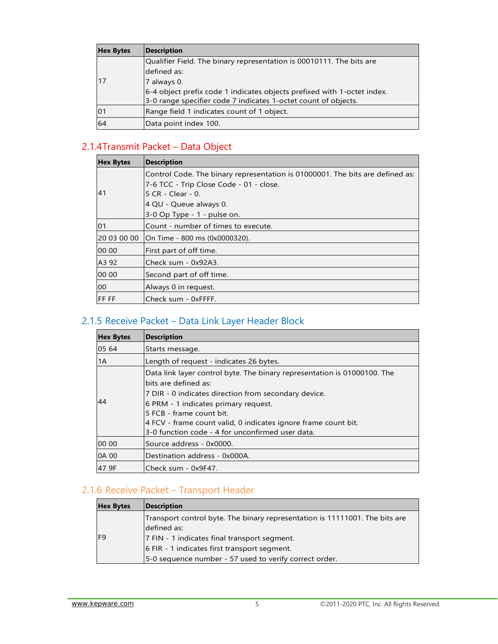| <b>Hex Bytes</b> | <b>Description</b>                                                      |
|------------------|-------------------------------------------------------------------------|
|                  | Qualifier Field. The binary representation is 00010111. The bits are    |
|                  | ldefined as:                                                            |
| l 17             | 7 always 0.                                                             |
|                  | 6-4 object prefix code 1 indicates objects prefixed with 1-octet index. |
|                  | 3-0 range specifier code 7 indicates 1-octet count of objects.          |
| 01               | Range field 1 indicates count of 1 object.                              |
| 64               | Data point index 100.                                                   |

#### <span id="page-6-0"></span>2.1.4Transmit Packet – Data Object

| <b>Hex Bytes</b> | <b>Description</b>                                                                                                                                                                                     |
|------------------|--------------------------------------------------------------------------------------------------------------------------------------------------------------------------------------------------------|
| 41               | Control Code. The binary representation is 01000001. The bits are defined as:<br>7-6 TCC - Trip Close Code - 01 - close.<br>5 CR - Clear - 0.<br>4 QU - Queue always 0.<br>3-0 Op Type - 1 - pulse on. |
| 01               | Count - number of times to execute.                                                                                                                                                                    |
| 20 03 00 00      | On Time - 800 ms (0x0000320).                                                                                                                                                                          |
| 00 00            | First part of off time.                                                                                                                                                                                |
| A3 92            | Check sum - 0x92A3.                                                                                                                                                                                    |
| 00 00            | Second part of off time.                                                                                                                                                                               |
| 00               | Always 0 in request.                                                                                                                                                                                   |
| <b>FFFFF</b>     | Check sum - 0xFFFF.                                                                                                                                                                                    |

#### <span id="page-6-1"></span>2.1.5 Receive Packet – Data Link Layer Header Block

| <b>Hex Bytes</b> | Description                                                                                                                                                                                                                                                                                                                                          |  |  |
|------------------|------------------------------------------------------------------------------------------------------------------------------------------------------------------------------------------------------------------------------------------------------------------------------------------------------------------------------------------------------|--|--|
| 05 64            | Starts message.                                                                                                                                                                                                                                                                                                                                      |  |  |
| 1A               | Length of request - indicates 26 bytes.                                                                                                                                                                                                                                                                                                              |  |  |
| 44               | Data link layer control byte. The binary representation is 01000100. The<br>lbits are defined as:<br>7 DIR - 0 indicates direction from secondary device.<br>6 PRM - 1 indicates primary request.<br>I5 FCB - frame count bit.<br>4 FCV - frame count valid, 0 indicates ignore frame count bit.<br>3-0 function code - 4 for unconfirmed user data. |  |  |
| 00 00            | lSource address - 0x0000.                                                                                                                                                                                                                                                                                                                            |  |  |
| 0A 00            | <b>IDestination address - 0x000A.</b>                                                                                                                                                                                                                                                                                                                |  |  |
| 47 9F            | lCheck sum - 0x9F47.                                                                                                                                                                                                                                                                                                                                 |  |  |

## <span id="page-6-2"></span>2.1.6 Receive Packet – Transport Header

| <b>Hex Bytes</b> | <b>Description</b>                                                                         |
|------------------|--------------------------------------------------------------------------------------------|
|                  | Transport control byte. The binary representation is 11111001. The bits are<br>defined as: |
| F <sub>9</sub>   | 7 FIN - 1 indicates final transport segment.                                               |
|                  | 6 FIR - 1 indicates first transport segment.                                               |
|                  | [5-0 sequence number - 57 used to verify correct order.                                    |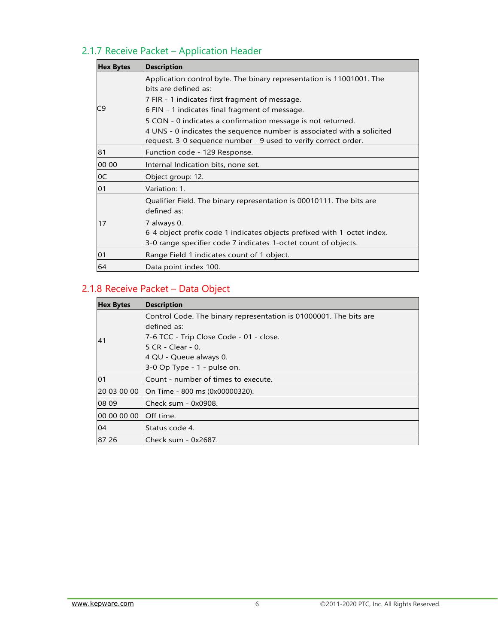## 2.1.7 Receive Packet – Application Header

<span id="page-7-0"></span>

| <b>Hex Bytes</b> | <b>Description</b>                                                                                                                                       |  |  |
|------------------|----------------------------------------------------------------------------------------------------------------------------------------------------------|--|--|
|                  | Application control byte. The binary representation is 11001001. The<br>bits are defined as:<br>7 FIR - 1 indicates first fragment of message.           |  |  |
| C9               | 6 FIN - 1 indicates final fragment of message.                                                                                                           |  |  |
|                  | 5 CON - 0 indicates a confirmation message is not returned.                                                                                              |  |  |
|                  | 4 UNS - 0 indicates the sequence number is associated with a solicited<br>request. 3-0 sequence number - 9 used to verify correct order.                 |  |  |
| 81               | Function code - 129 Response.                                                                                                                            |  |  |
| 00 00            | Internal Indication bits, none set.                                                                                                                      |  |  |
| 0C               | Object group: 12.                                                                                                                                        |  |  |
| 01               | Variation: 1.                                                                                                                                            |  |  |
|                  | Qualifier Field. The binary representation is 00010111. The bits are<br>defined as:                                                                      |  |  |
| 17               | 7 always 0.<br>6-4 object prefix code 1 indicates objects prefixed with 1-octet index.<br>3-0 range specifier code 7 indicates 1-octet count of objects. |  |  |
| 01               | Range Field 1 indicates count of 1 object.                                                                                                               |  |  |
| 64               | Data point index 100.                                                                                                                                    |  |  |

### <span id="page-7-1"></span>2.1.8 Receive Packet – Data Object

| <b>Hex Bytes</b> | <b>Description</b>                                                |  |  |
|------------------|-------------------------------------------------------------------|--|--|
|                  | Control Code. The binary representation is 01000001. The bits are |  |  |
|                  | defined as:                                                       |  |  |
| 41               | 7-6 TCC - Trip Close Code - 01 - close.                           |  |  |
|                  | 5 CR - Clear - 0.                                                 |  |  |
|                  | 4 QU - Queue always 0.                                            |  |  |
|                  | 3-0 Op Type - 1 - pulse on.                                       |  |  |
| 01               | Count - number of times to execute.                               |  |  |
| 20 03 00 00      | On Time - 800 ms (0x00000320).                                    |  |  |
| 08 09            | lCheck sum - 0x0908.                                              |  |  |
| 00 00 00 00      | <b>Off</b> time.                                                  |  |  |
| 04               | Status code 4.                                                    |  |  |
| 87 26            | Check sum - 0x2687.                                               |  |  |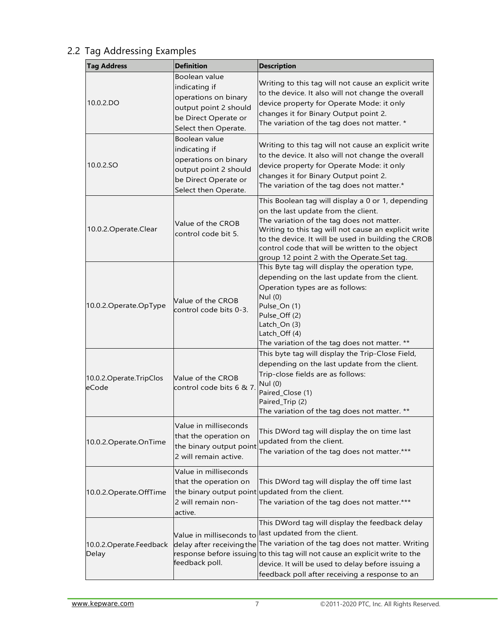| <b>Tag Address</b>                 | <b>Definition</b>                                                                                                               | <b>Description</b>                                                                                                                                                                                                                                                                                                                                    |  |
|------------------------------------|---------------------------------------------------------------------------------------------------------------------------------|-------------------------------------------------------------------------------------------------------------------------------------------------------------------------------------------------------------------------------------------------------------------------------------------------------------------------------------------------------|--|
| 10.0.2.DO                          | Boolean value<br>indicating if<br>operations on binary<br>output point 2 should<br>be Direct Operate or<br>Select then Operate. | Writing to this tag will not cause an explicit write<br>to the device. It also will not change the overall<br>device property for Operate Mode: it only<br>changes it for Binary Output point 2.<br>The variation of the tag does not matter. *                                                                                                       |  |
| 10.0.2.SO                          | Boolean value<br>indicating if<br>operations on binary<br>output point 2 should<br>be Direct Operate or<br>Select then Operate. | Writing to this tag will not cause an explicit write<br>to the device. It also will not change the overall<br>device property for Operate Mode: it only<br>changes it for Binary Output point 2.<br>The variation of the tag does not matter.*                                                                                                        |  |
| 10.0.2. Operate. Clear             | Value of the CROB<br>control code bit 5.                                                                                        | This Boolean tag will display a 0 or 1, depending<br>on the last update from the client.<br>The variation of the tag does not matter.<br>Writing to this tag will not cause an explicit write<br>to the device. It will be used in building the CROB<br>control code that will be written to the object<br>group 12 point 2 with the Operate.Set tag. |  |
| 10.0.2. Operate. Op Type           | Value of the CROB<br>control code bits 0-3.                                                                                     | This Byte tag will display the operation type,<br>depending on the last update from the client.<br>Operation types are as follows:<br>Nul (0)<br>Pulse_On (1)<br>Pulse_Off (2)<br>Latch_On (3)<br>Latch_Off (4)<br>The variation of the tag does not matter. **                                                                                       |  |
| 10.0.2. Operate. TripClos<br>eCode | Value of the CROB<br>control code bits 6 & 7.                                                                                   | This byte tag will display the Trip-Close Field,<br>depending on the last update from the client.<br>Trip-close fields are as follows:<br>Nul (0)<br>Paired_Close (1)<br>Paired_Trip (2)<br>The variation of the tag does not matter. **                                                                                                              |  |
| 10.0.2. Operate. On Time           | Value in milliseconds<br>that the operation on<br>the binary output point<br>2 will remain active.                              | This DWord tag will display the on time last<br>updated from the client.<br>The variation of the tag does not matter.***                                                                                                                                                                                                                              |  |
| 10.0.2. Operate. OffTime           | Value in milliseconds<br>that the operation on<br>2 will remain non-<br>active.                                                 | This DWord tag will display the off time last<br>the binary output point updated from the client.<br>The variation of the tag does not matter.***                                                                                                                                                                                                     |  |
| 10.0.2. Operate. Feedback<br>Delay | Value in milliseconds to<br>delay after receiving the<br>feedback poll.                                                         | This DWord tag will display the feedback delay<br>last updated from the client.<br>The variation of the tag does not matter. Writing<br>response before issuing to this tag will not cause an explicit write to the<br>device. It will be used to delay before issuing a<br>feedback poll after receiving a response to an                            |  |

#### <span id="page-8-0"></span>2.2 Tag Addressing Examples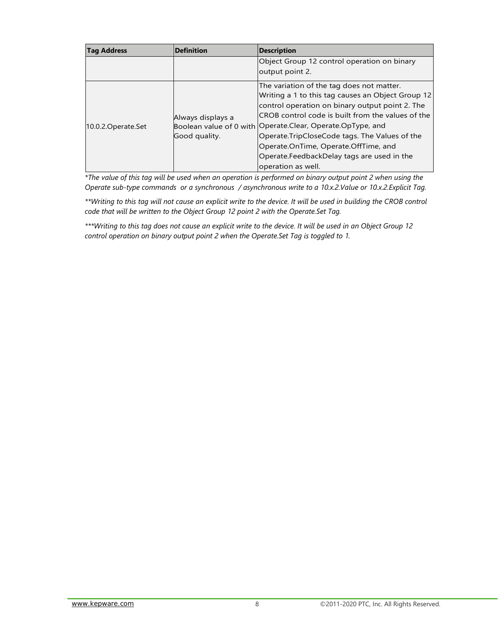| <b>Tag Address</b>  | <b>Definition</b>                  | <b>Description</b>                                                                                                                                                                                                                                                                                                                                                                                                                 |
|---------------------|------------------------------------|------------------------------------------------------------------------------------------------------------------------------------------------------------------------------------------------------------------------------------------------------------------------------------------------------------------------------------------------------------------------------------------------------------------------------------|
|                     |                                    | Object Group 12 control operation on binary<br>output point 2.                                                                                                                                                                                                                                                                                                                                                                     |
| 10.0.2. Operate Set | Always displays a<br>Good quality. | The variation of the tag does not matter.<br>Writing a 1 to this tag causes an Object Group 12<br>control operation on binary output point 2. The<br>ICROB control code is built from the values of the<br>Boolean value of 0 with Operate.Clear, Operate.OpType, and<br>Operate.TripCloseCode tags. The Values of the<br>Operate.OnTime, Operate.OffTime, and<br>Operate.FeedbackDelay tags are used in the<br>operation as well. |

*\*The value of this tag will be used when an operation is performed on binary output point 2 when using the Operate sub-type commands or a synchronous / asynchronous write to a 10.x.2.Value or 10.x.2.Explicit Tag.*

\*\*Writing to this tag will not cause an explicit write to the device. It will be used in building the CROB control *code that will be written to the Object Group 12 point 2 with the Operate.Set Tag.*

*\*\*\*Writing to this tag does not cause an explicit write to the device. It will be used in an Object Group 12 control operation on binary output point 2 when the Operate.Set Tag is toggled to 1.*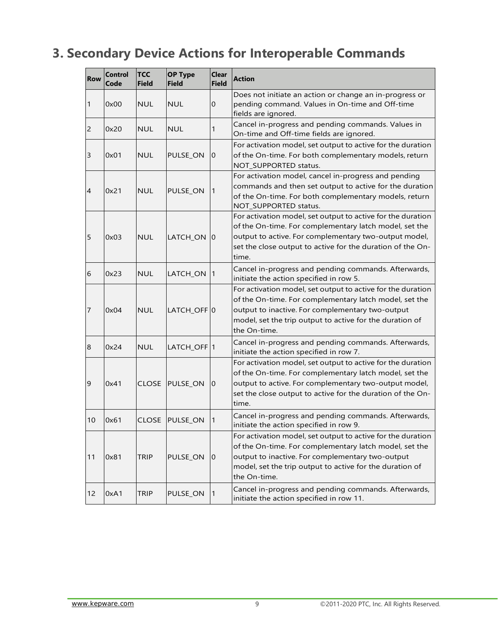## <span id="page-10-0"></span>**3. Secondary Device Actions for Interoperable Commands**

| <b>Row</b>     | <b>Control</b><br>Code | <b>TCC</b><br><b>Field</b> | <b>OP Type</b><br><b>Field</b> | <b>Clear</b><br><b>Field</b> | <b>Action</b>                                                                                                                                                                                                                                         |
|----------------|------------------------|----------------------------|--------------------------------|------------------------------|-------------------------------------------------------------------------------------------------------------------------------------------------------------------------------------------------------------------------------------------------------|
| 1              | 0x00                   | <b>NUL</b>                 | <b>NUL</b>                     | 0                            | Does not initiate an action or change an in-progress or<br>pending command. Values in On-time and Off-time<br>fields are ignored.                                                                                                                     |
| $\overline{2}$ | 0x20                   | <b>NUL</b>                 | <b>NUL</b>                     | 1                            | Cancel in-progress and pending commands. Values in<br>On-time and Off-time fields are ignored.                                                                                                                                                        |
| 3              | 0x01                   | <b>NUL</b>                 | PULSE_ON                       | $\overline{0}$               | For activation model, set output to active for the duration<br>of the On-time. For both complementary models, return<br>NOT_SUPPORTED status.                                                                                                         |
| $\overline{4}$ | 0x21                   | <b>NUL</b>                 | PULSE_ON                       | 1                            | For activation model, cancel in-progress and pending<br>commands and then set output to active for the duration<br>of the On-time. For both complementary models, return<br>NOT_SUPPORTED status.                                                     |
| 5              | 0x03                   | <b>NUL</b>                 | LATCH_ON                       | $\overline{0}$               | For activation model, set output to active for the duration<br>of the On-time. For complementary latch model, set the<br>output to active. For complementary two-output model,<br>set the close output to active for the duration of the On-<br>time. |
| 6              | 0x23                   | <b>NUL</b>                 | LATCH_ON                       | 1                            | Cancel in-progress and pending commands. Afterwards,<br>initiate the action specified in row 5.                                                                                                                                                       |
| 7              | 0x04                   | <b>NUL</b>                 | LATCH_OFF 0                    |                              | For activation model, set output to active for the duration<br>of the On-time. For complementary latch model, set the<br>output to inactive. For complementary two-output<br>model, set the trip output to active for the duration of<br>the On-time. |
| 8              | 0x24                   | <b>NUL</b>                 | LATCH_OFF <sup>1</sup>         |                              | Cancel in-progress and pending commands. Afterwards,<br>initiate the action specified in row 7.                                                                                                                                                       |
| 9              | 0x41                   | <b>CLOSE</b>               | PULSE_ON                       | $\overline{0}$               | For activation model, set output to active for the duration<br>of the On-time. For complementary latch model, set the<br>output to active. For complementary two-output model,<br>set the close output to active for the duration of the On-<br>time. |
| 10             | 0x61                   | <b>CLOSE</b>               | <b>PULSE ON</b>                | -1                           | Cancel in-progress and pending commands. Afterwards,<br>initiate the action specified in row 9.                                                                                                                                                       |
| 11             | 0x81                   | TRIP                       | PULSE_ON                       | $\boldsymbol{0}$             | For activation model, set output to active for the duration<br>of the On-time. For complementary latch model, set the<br>output to inactive. For complementary two-output<br>model, set the trip output to active for the duration of<br>the On-time. |
| 12             | 0xA1                   | <b>TRIP</b>                | PULSE ON                       | 1                            | Cancel in-progress and pending commands. Afterwards,<br>initiate the action specified in row 11.                                                                                                                                                      |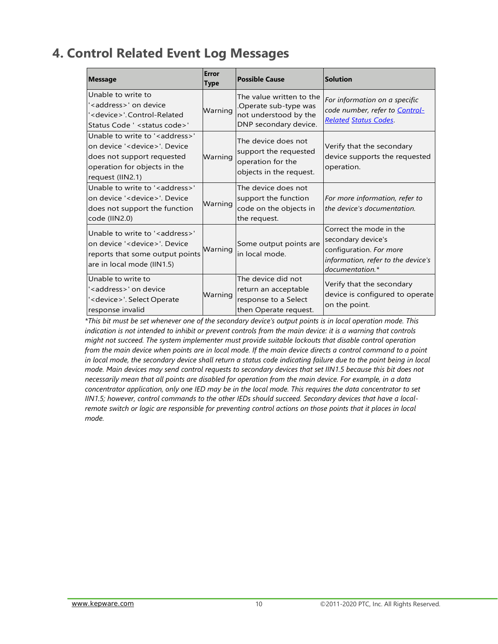## <span id="page-11-0"></span>**4. Control Related Event Log Messages**

| <b>Message</b>                                                                                                                                                           | Error<br><b>Type</b> | <b>Possible Cause</b>                                                                              | Solution                                                                                                                          |
|--------------------------------------------------------------------------------------------------------------------------------------------------------------------------|----------------------|----------------------------------------------------------------------------------------------------|-----------------------------------------------------------------------------------------------------------------------------------|
| Unable to write to<br>' <address>' on device<br/>'<device>'.Control-Related<br/>Status Code ' &lt; status code &gt; '</device></address>                                 | Warning              | The value written to the<br>Operate sub-type was<br>not understood by the<br>DNP secondary device. | For information on a specific<br>code number, refer to Control-<br><b>Related Status Codes</b>                                    |
| Unable to write to ' <address>'<br/>on device '<device>'. Device<br/>does not support requested<br/>operation for objects in the<br/>request (IIN2.1)</device></address> | Warning              | The device does not<br>support the requested<br>operation for the<br>objects in the request.       | Verify that the secondary<br>device supports the requested<br>operation.                                                          |
| Unable to write to ' <address>'<br/>on device '<device>'. Device<br/>does not support the function<br/>code (IIN2.0)</device></address>                                  | Warning              | The device does not<br>support the function<br>code on the objects in<br>the request.              | For more information, refer to<br>the device's documentation.                                                                     |
| Unable to write to ' <address>'<br/>on device '<device>'. Device<br/>reports that some output points<br/>are in local mode (IIN1.5)</device></address>                   | Warning              | Some output points are<br>in local mode.                                                           | Correct the mode in the<br>secondary device's<br>configuration. For more<br>information, refer to the device's<br>documentation.* |
| Unable to write to<br>' <address>' on device<br/>'<device>'. Select Operate<br/>response invalid</device></address>                                                      | Warning              | The device did not<br>return an acceptable<br>response to a Select<br>then Operate request.        | Verify that the secondary<br>device is configured to operate<br>on the point.                                                     |

*\*This bit must be set whenever one of the secondary device's output points is in local operation mode. This indication is not intended to inhibit or prevent controls from the main device: it is a warning that controls might not succeed. The system implementer must provide suitable lockouts that disable control operation from the main device when points are in local mode. If the main device directs a control command to a point in local mode, the secondary device shall return a status code indicating failure due to the point being in local mode. Main devices may send control requests to secondary devices that set IIN1.5 because this bit does not necessarily mean that all points are disabled for operation from the main device. For example, in a data concentrator application, only one IED may be in the local mode. This requires the data concentrator to set IIN1.5; however, control commands to the other IEDs should succeed. Secondary devices that have a localremote switch or logic are responsible for preventing control actions on those points that it places in local mode.*